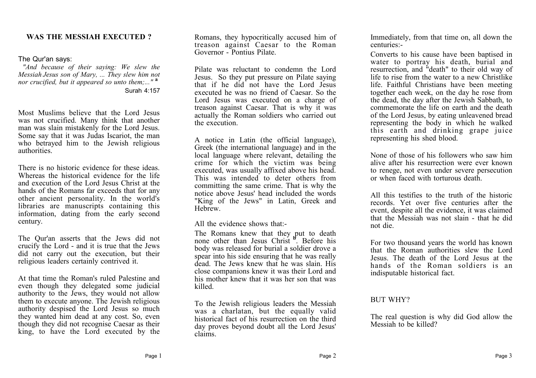# **WAS THE MESSIAH EXECUTED ?**

### The Qur'an says:

*"And because of their saying: We slew the Messiah Jesus son of Mary, ... They slew him not nor crucified, but it appeared so unto them;..."* **<sup>a</sup>** Surah 4:157

Most Muslims believe that the Lord Jesus was not crucified. Many think that another man was slain mistakenly for the Lord Jesus. Some say that it was Judas Iscariot, the man who betrayed him to the Jewish religious authorities.

There is no historic evidence for these ideas. Whereas the historical evidence for the life and execution of the Lord Jesus Christ at the hands of the Romans far exceeds that for any other ancient personality. In the world's libraries are manuscripts containing this information, dating from the early second century.

The Qur'an asserts that the Jews did not crucify the Lord - and it is true that the Jews did not carry out the execution, but their religious leaders certainly contrived it.

At that time the Roman's ruled Palestine and even though they delegated some judicial authority to the Jews, they would not allow them to execute anyone. The Jewish religious authority despised the Lord Jesus so much they wanted him dead at any cost. So, even though they did not recognise Caesar as their king, to have the Lord executed by the

Romans, they hypocritically accused him of treason against Caesar to the Roman Governor - Pontius Pilate.

Pilate was reluctant to condemn the Lord Jesus. So they put pressure on Pilate saying that if he did not have the Lord Jesus executed he was no friend of Caesar. So the Lord Jesus was executed on a charge of treason against Caesar. That is why it was actually the Roman soldiers who carried out the execution.

A notice in Latin (the official language), Greek (the international language) and in the local language where relevant, detailing the crime for which the victim was being executed, was usually affixed above his head. This was intended to deter others from committing the same crime. That is why the notice above Jesus' head included the words "King of the Jews" in Latin, Greek and **Hebrew** 

All the evidence shows that:-

The Romans knew that they put to death none other than Jesus Christ **<sup>b</sup>** . Before his body was released for burial a soldier drove a spear into his side ensuring that he was really dead. The Jews knew that he was slain. His close companions knew it was their Lord and his mother knew that it was her son that was killed.

To the Jewish religious leaders the Messiah was a charlatan, but the equally valid historical fact of his resurrection on the third day proves beyond doubt all the Lord Jesus' claims.

Immediately, from that time on, all down the centuries:-

Converts to his cause have been baptised in water to portray his death, burial and resurrection, and "death" to their old way of life to rise from the water to a new Christlike life. Faithful Christians have been meeting together each week, on the day he rose from the dead, the day after the Jewish Sabbath, to commemorate the life on earth and the death of the Lord Jesus, by eating unleavened bread representing the body in which he walked this earth and drinking grape juice representing his shed blood.

None of those of his followers who saw him alive after his resurrection were ever known to renege, not even under severe persecution or when faced with torturous death.

All this testifies to the truth of the historic records. Yet over five centuries after the event, despite all the evidence, it was claimed that the Messiah was not slain - that he did not die.

For two thousand years the world has known that the Roman authorities slew the Lord Jesus. The death of the Lord Jesus at the hands of the Roman soldiers is an indisputable historical fact.

## BUT WHY?

The real question is why did God allow the Messiah to be killed?